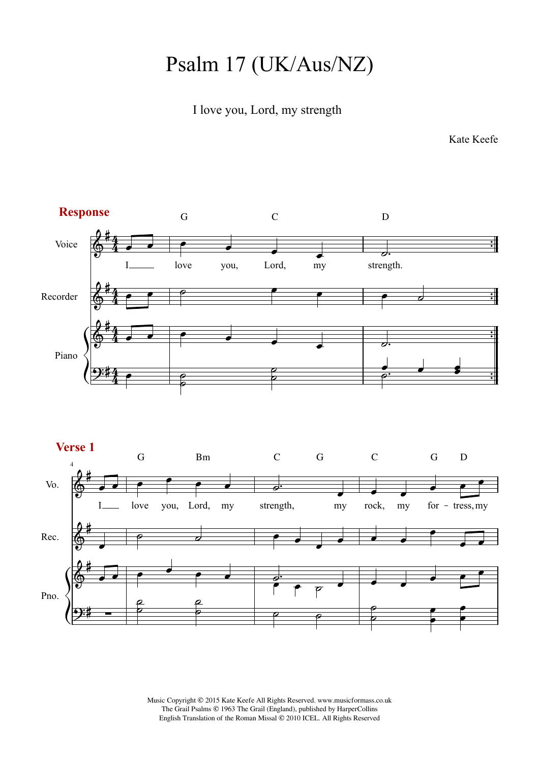## Psalm 17 (UK/Aus/NZ)

## I love you, Lord, my strength

Kate Keefe



Music Copyright © 2015 Kate Keefe All Rights Reserved. www.musicformass.co.uk The Grail Psalms © 1963 The Grail (England), published by HarperCollins English Translation of the Roman Missal © 2010 ICEL. All Rights Reserved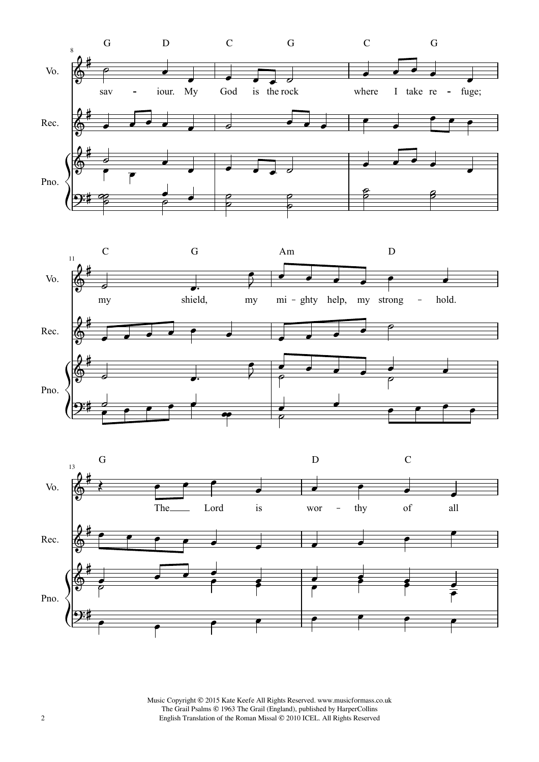





2 **2** English Translation of the Roman Missal © 2010 ICEL. All Rights Reserved Music Copyright © 2015 Kate Keefe All Rights Reserved. www.musicformass.co.uk The Grail Psalms © 1963 The Grail (England), published by HarperCollins English Translation of the Roman Missal © 2010 ICEL. All Rights Reserved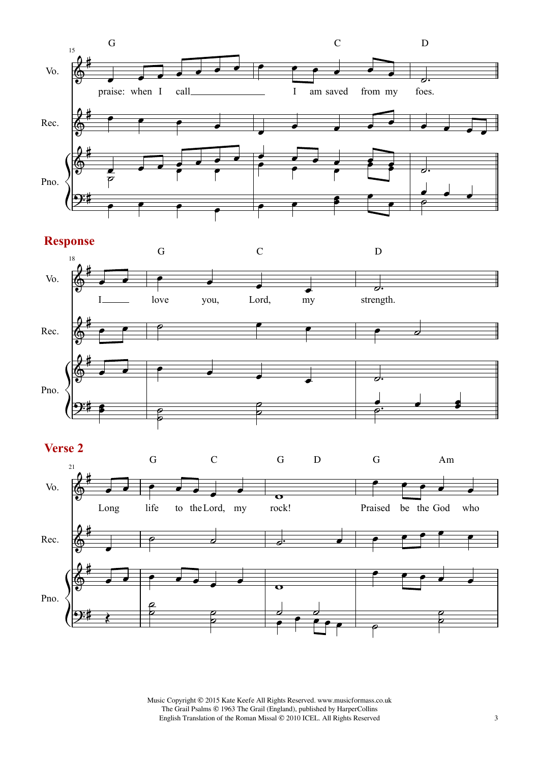





Music Copyright © 2015 Kate Keefe All Rights Reserved. www.musicformass.co.uk The Grail Psalms © 1963 The Grail (England), published by HarperCollins English Translation of the Roman Missal © 2010 ICEL. All Rights Reserved 3